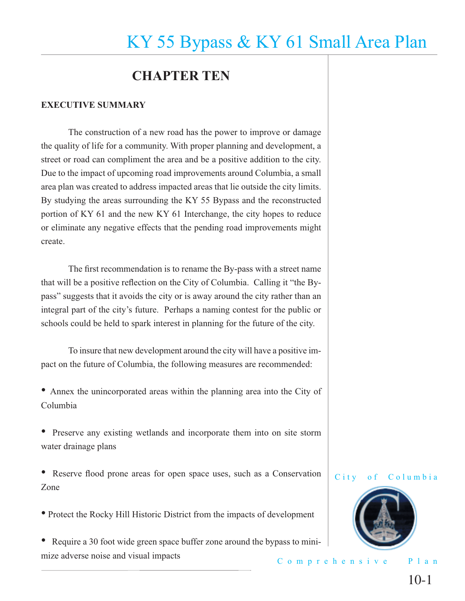## **CHAPTER TEN**

### **EXECUTIVE SUMMARY**

 The construction of a new road has the power to improve or damage the quality of life for a community. With proper planning and development, a street or road can compliment the area and be a positive addition to the city. Due to the impact of upcoming road improvements around Columbia, a small area plan was created to address impacted areas that lie outside the city limits. By studying the areas surrounding the KY 55 Bypass and the reconstructed portion of KY 61 and the new KY 61 Interchange, the city hopes to reduce or eliminate any negative effects that the pending road improvements might create.

The first recommendation is to rename the By-pass with a street name that will be a positive reflection on the City of Columbia. Calling it "the Bypass" suggests that it avoids the city or is away around the city rather than an integral part of the city's future. Perhaps a naming contest for the public or schools could be held to spark interest in planning for the future of the city.

 To insure that new development around the city will have a positive impact on the future of Columbia, the following measures are recommended:

• Annex the unincorporated areas within the planning area into the City of Columbia

• Preserve any existing wetlands and incorporate them into on site storm water drainage plans

• Reserve flood prone areas for open space uses, such as a Conservation Zone

• Protect the Rocky Hill Historic District from the impacts of development

Comprehensive Plan • Require a 30 foot wide green space buffer zone around the bypass to minimize adverse noise and visual impacts

City of Columbia

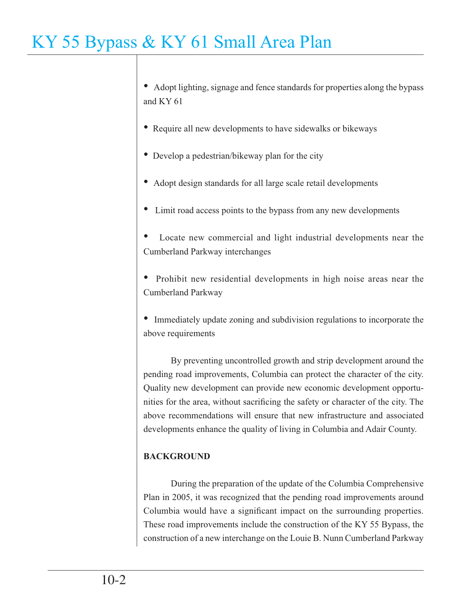• Adopt lighting, signage and fence standards for properties along the bypass and KY 61

- Require all new developments to have sidewalks or bikeways
- Develop a pedestrian/bikeway plan for the city
- Adopt design standards for all large scale retail developments
- Limit road access points to the bypass from any new developments

• Locate new commercial and light industrial developments near the Cumberland Parkway interchanges

• Prohibit new residential developments in high noise areas near the Cumberland Parkway

• Immediately update zoning and subdivision regulations to incorporate the above requirements

 By preventing uncontrolled growth and strip development around the pending road improvements, Columbia can protect the character of the city. Quality new development can provide new economic development opportunities for the area, without sacrificing the safety or character of the city. The above recommendations will ensure that new infrastructure and associated developments enhance the quality of living in Columbia and Adair County.

### **BACKGROUND**

During the preparation of the update of the Columbia Comprehensive Plan in 2005, it was recognized that the pending road improvements around Columbia would have a significant impact on the surrounding properties. These road improvements include the construction of the KY 55 Bypass, the construction of a new interchange on the Louie B. Nunn Cumberland Parkway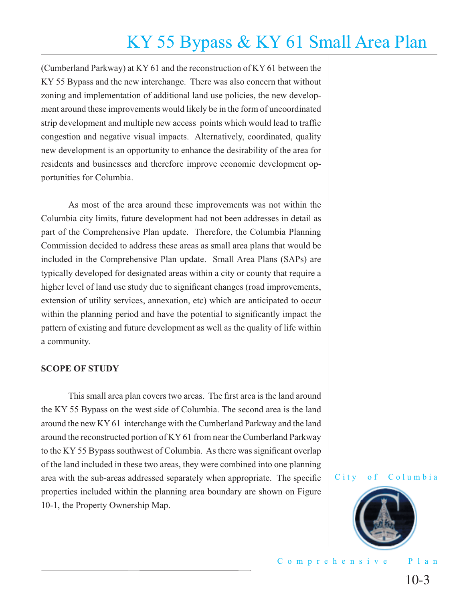(Cumberland Parkway) at KY 61 and the reconstruction of KY 61 between the KY 55 Bypass and the new interchange. There was also concern that without zoning and implementation of additional land use policies, the new development around these improvements would likely be in the form of uncoordinated strip development and multiple new access points which would lead to traffic congestion and negative visual impacts. Alternatively, coordinated, quality new development is an opportunity to enhance the desirability of the area for residents and businesses and therefore improve economic development opportunities for Columbia.

 As most of the area around these improvements was not within the Columbia city limits, future development had not been addresses in detail as part of the Comprehensive Plan update. Therefore, the Columbia Planning Commission decided to address these areas as small area plans that would be included in the Comprehensive Plan update. Small Area Plans (SAPs) are typically developed for designated areas within a city or county that require a higher level of land use study due to significant changes (road improvements, extension of utility services, annexation, etc) which are anticipated to occur within the planning period and have the potential to significantly impact the pattern of existing and future development as well as the quality of life within a community.

### **SCOPE OF STUDY**

This small area plan covers two areas. The first area is the land around the KY 55 Bypass on the west side of Columbia. The second area is the land around the new KY 61 interchange with the Cumberland Parkway and the land around the reconstructed portion of KY 61 from near the Cumberland Parkway to the KY 55 Bypass southwest of Columbia. As there was significant overlap of the land included in these two areas, they were combined into one planning area with the sub-areas addressed separately when appropriate. The specific properties included within the planning area boundary are shown on Figure 10-1, the Property Ownership Map.



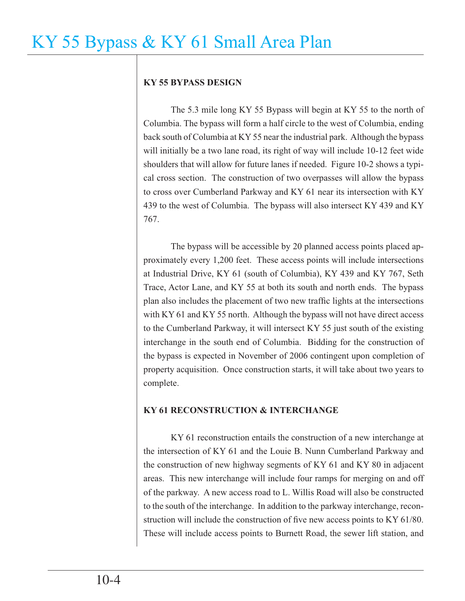### **KY 55 BYPASS DESIGN**

 The 5.3 mile long KY 55 Bypass will begin at KY 55 to the north of Columbia. The bypass will form a half circle to the west of Columbia, ending back south of Columbia at KY 55 near the industrial park. Although the bypass will initially be a two lane road, its right of way will include 10-12 feet wide shoulders that will allow for future lanes if needed. Figure 10-2 shows a typical cross section. The construction of two overpasses will allow the bypass to cross over Cumberland Parkway and KY 61 near its intersection with KY 439 to the west of Columbia. The bypass will also intersect KY 439 and KY 767.

 The bypass will be accessible by 20 planned access points placed approximately every 1,200 feet. These access points will include intersections at Industrial Drive, KY 61 (south of Columbia), KY 439 and KY 767, Seth Trace, Actor Lane, and KY 55 at both its south and north ends. The bypass plan also includes the placement of two new traffic lights at the intersections with KY 61 and KY 55 north. Although the bypass will not have direct access to the Cumberland Parkway, it will intersect KY 55 just south of the existing interchange in the south end of Columbia. Bidding for the construction of the bypass is expected in November of 2006 contingent upon completion of property acquisition. Once construction starts, it will take about two years to complete.

### **KY 61 RECONSTRUCTION & INTERCHANGE**

 KY 61 reconstruction entails the construction of a new interchange at the intersection of KY 61 and the Louie B. Nunn Cumberland Parkway and the construction of new highway segments of KY 61 and KY 80 in adjacent areas. This new interchange will include four ramps for merging on and off of the parkway. A new access road to L. Willis Road will also be constructed to the south of the interchange. In addition to the parkway interchange, reconstruction will include the construction of five new access points to KY  $61/80$ . These will include access points to Burnett Road, the sewer lift station, and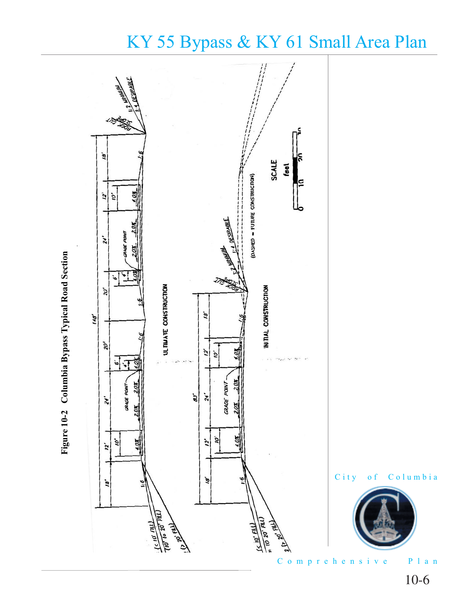

# Figure 10-2 Columbia Bypass Typical Road Section **Figure 10-2 Columbia Bypass Typical Road Section**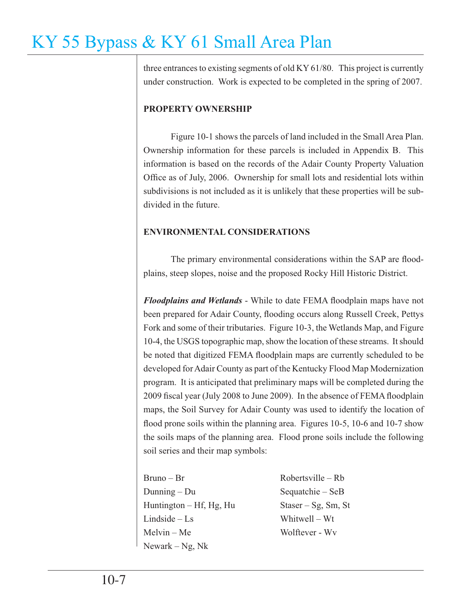three entrances to existing segments of old KY 61/80. This project is currently under construction. Work is expected to be completed in the spring of 2007.

### **PROPERTY OWNERSHIP**

 Figure 10-1 shows the parcels of land included in the Small Area Plan. Ownership information for these parcels is included in Appendix B. This information is based on the records of the Adair County Property Valuation Office as of July, 2006. Ownership for small lots and residential lots within subdivisions is not included as it is unlikely that these properties will be subdivided in the future.

### **ENVIRONMENTAL CONSIDERATIONS**

The primary environmental considerations within the SAP are floodplains, steep slopes, noise and the proposed Rocky Hill Historic District.

*Floodplains and Wetlands* - While to date FEMA floodplain maps have not been prepared for Adair County, flooding occurs along Russell Creek, Pettys Fork and some of their tributaries. Figure 10-3, the Wetlands Map, and Figure 10-4, the USGS topographic map, show the location of these streams. It should be noted that digitized FEMA floodplain maps are currently scheduled to be developed for Adair County as part of the Kentucky Flood Map Modernization program. It is anticipated that preliminary maps will be completed during the 2009 fiscal year (July 2008 to June 2009). In the absence of FEMA floodplain maps, the Soil Survey for Adair County was used to identify the location of flood prone soils within the planning area. Figures 10-5, 10-6 and 10-7 show the soils maps of the planning area. Flood prone soils include the following soil series and their map symbols:

| $Bruno - Br$              | $Robertville - Rb$  |
|---------------------------|---------------------|
| Dunning $-$ Du            | Sequatchie $-$ SeB  |
| Huntington $-$ Hf, Hg, Hu | $Staser-Sg, Sm, St$ |
| $Lindside - Ls$           | Whitwell – Wt       |
| $Melvin - Me$             | Wolftever - Wy      |
| Newark – Ng, N $k$        |                     |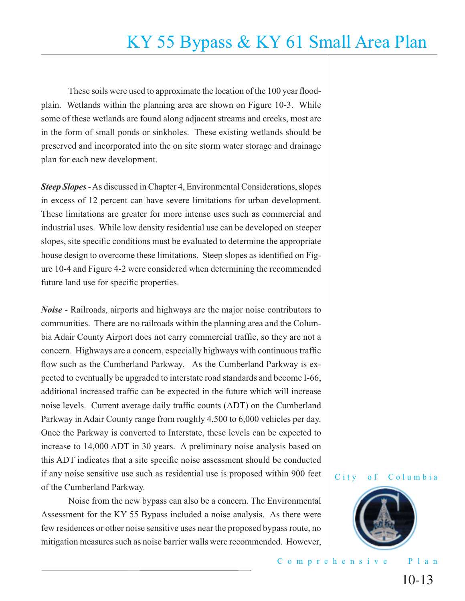These soils were used to approximate the location of the 100 year floodplain. Wetlands within the planning area are shown on Figure 10-3. While some of these wetlands are found along adjacent streams and creeks, most are in the form of small ponds or sinkholes. These existing wetlands should be preserved and incorporated into the on site storm water storage and drainage plan for each new development.

*Steep Slopes* - As discussed in Chapter 4, Environmental Considerations, slopes in excess of 12 percent can have severe limitations for urban development. These limitations are greater for more intense uses such as commercial and industrial uses. While low density residential use can be developed on steeper slopes, site specific conditions must be evaluated to determine the appropriate house design to overcome these limitations. Steep slopes as identified on Figure 10-4 and Figure 4-2 were considered when determining the recommended future land use for specific properties.

*Noise* - Railroads, airports and highways are the major noise contributors to communities. There are no railroads within the planning area and the Columbia Adair County Airport does not carry commercial traffic, so they are not a concern. Highways are a concern, especially highways with continuous traffic flow such as the Cumberland Parkway. As the Cumberland Parkway is expected to eventually be upgraded to interstate road standards and become I-66, additional increased traffic can be expected in the future which will increase noise levels. Current average daily traffic counts (ADT) on the Cumberland Parkway in Adair County range from roughly 4,500 to 6,000 vehicles per day. Once the Parkway is converted to Interstate, these levels can be expected to increase to 14,000 ADT in 30 years. A preliminary noise analysis based on this ADT indicates that a site specific noise assessment should be conducted if any noise sensitive use such as residential use is proposed within 900 feet of the Cumberland Parkway.

 Noise from the new bypass can also be a concern. The Environmental Assessment for the KY 55 Bypass included a noise analysis. As there were few residences or other noise sensitive uses near the proposed bypass route, no mitigation measures such as noise barrier walls were recommended. However,

### City of Columbia

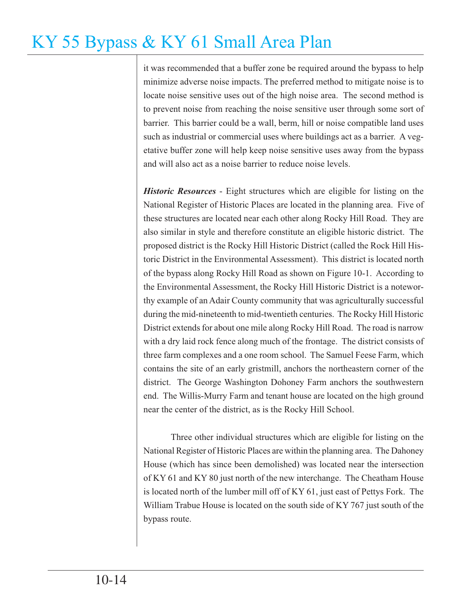it was recommended that a buffer zone be required around the bypass to help minimize adverse noise impacts. The preferred method to mitigate noise is to locate noise sensitive uses out of the high noise area. The second method is to prevent noise from reaching the noise sensitive user through some sort of barrier. This barrier could be a wall, berm, hill or noise compatible land uses such as industrial or commercial uses where buildings act as a barrier. A vegetative buffer zone will help keep noise sensitive uses away from the bypass and will also act as a noise barrier to reduce noise levels.

*Historic Resources* - Eight structures which are eligible for listing on the National Register of Historic Places are located in the planning area. Five of these structures are located near each other along Rocky Hill Road. They are also similar in style and therefore constitute an eligible historic district. The proposed district is the Rocky Hill Historic District (called the Rock Hill Historic District in the Environmental Assessment). This district is located north of the bypass along Rocky Hill Road as shown on Figure 10-1. According to the Environmental Assessment, the Rocky Hill Historic District is a noteworthy example of an Adair County community that was agriculturally successful during the mid-nineteenth to mid-twentieth centuries. The Rocky Hill Historic District extends for about one mile along Rocky Hill Road. The road is narrow with a dry laid rock fence along much of the frontage. The district consists of three farm complexes and a one room school. The Samuel Feese Farm, which contains the site of an early gristmill, anchors the northeastern corner of the district. The George Washington Dohoney Farm anchors the southwestern end. The Willis-Murry Farm and tenant house are located on the high ground near the center of the district, as is the Rocky Hill School.

 Three other individual structures which are eligible for listing on the National Register of Historic Places are within the planning area. The Dahoney House (which has since been demolished) was located near the intersection of KY 61 and KY 80 just north of the new interchange. The Cheatham House is located north of the lumber mill off of KY 61, just east of Pettys Fork. The William Trabue House is located on the south side of KY 767 just south of the bypass route.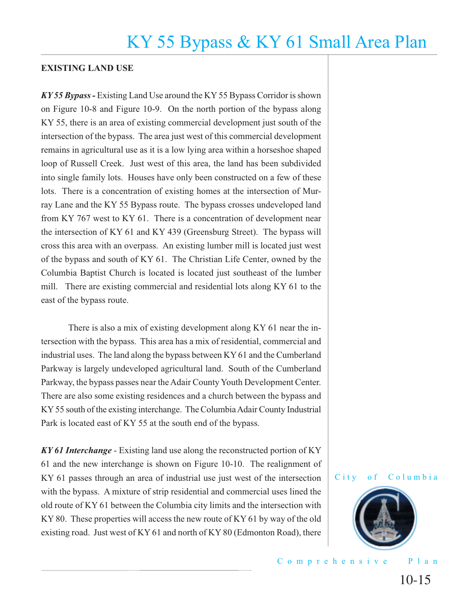### **EXISTING LAND USE**

*KY 55 Bypass -* Existing Land Use around the KY 55 Bypass Corridor is shown on Figure 10-8 and Figure 10-9. On the north portion of the bypass along KY 55, there is an area of existing commercial development just south of the intersection of the bypass. The area just west of this commercial development remains in agricultural use as it is a low lying area within a horseshoe shaped loop of Russell Creek. Just west of this area, the land has been subdivided into single family lots. Houses have only been constructed on a few of these lots. There is a concentration of existing homes at the intersection of Murray Lane and the KY 55 Bypass route. The bypass crosses undeveloped land from KY 767 west to KY 61. There is a concentration of development near the intersection of KY 61 and KY 439 (Greensburg Street). The bypass will cross this area with an overpass. An existing lumber mill is located just west of the bypass and south of KY 61. The Christian Life Center, owned by the Columbia Baptist Church is located is located just southeast of the lumber mill. There are existing commercial and residential lots along KY 61 to the east of the bypass route.

 There is also a mix of existing development along KY 61 near the intersection with the bypass. This area has a mix of residential, commercial and industrial uses. The land along the bypass between KY 61 and the Cumberland Parkway is largely undeveloped agricultural land. South of the Cumberland Parkway, the bypass passes near the Adair County Youth Development Center. There are also some existing residences and a church between the bypass and KY 55 south of the existing interchange. The Columbia Adair County Industrial Park is located east of KY 55 at the south end of the bypass.

*KY 61 Interchange* - Existing land use along the reconstructed portion of KY 61 and the new interchange is shown on Figure 10-10. The realignment of KY 61 passes through an area of industrial use just west of the intersection with the bypass. A mixture of strip residential and commercial uses lined the old route of KY 61 between the Columbia city limits and the intersection with KY 80. These properties will access the new route of KY 61 by way of the old existing road. Just west of KY 61 and north of KY 80 (Edmonton Road), there



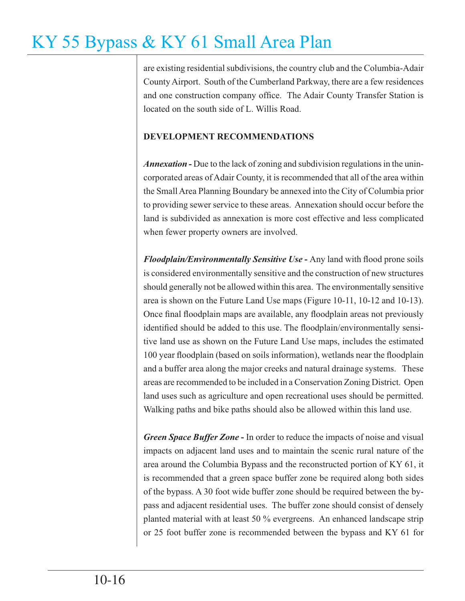are existing residential subdivisions, the country club and the Columbia-Adair County Airport. South of the Cumberland Parkway, there are a few residences and one construction company office. The Adair County Transfer Station is located on the south side of L. Willis Road.

### **DEVELOPMENT RECOMMENDATIONS**

*Annexation -* Due to the lack of zoning and subdivision regulations in the unincorporated areas of Adair County, it is recommended that all of the area within the Small Area Planning Boundary be annexed into the City of Columbia prior to providing sewer service to these areas. Annexation should occur before the land is subdivided as annexation is more cost effective and less complicated when fewer property owners are involved.

*Floodplain/Environmentally Sensitive Use* - Any land with flood prone soils is considered environmentally sensitive and the construction of new structures should generally not be allowed within this area. The environmentally sensitive area is shown on the Future Land Use maps (Figure 10-11, 10-12 and 10-13). Once final floodplain maps are available, any floodplain areas not previously identified should be added to this use. The floodplain/environmentally sensitive land use as shown on the Future Land Use maps, includes the estimated 100 year floodplain (based on soils information), wetlands near the floodplain and a buffer area along the major creeks and natural drainage systems. These areas are recommended to be included in a Conservation Zoning District. Open land uses such as agriculture and open recreational uses should be permitted. Walking paths and bike paths should also be allowed within this land use.

*Green Space Buffer Zone* **-** In order to reduce the impacts of noise and visual impacts on adjacent land uses and to maintain the scenic rural nature of the area around the Columbia Bypass and the reconstructed portion of KY 61, it is recommended that a green space buffer zone be required along both sides of the bypass. A 30 foot wide buffer zone should be required between the bypass and adjacent residential uses. The buffer zone should consist of densely planted material with at least 50 % evergreens. An enhanced landscape strip or 25 foot buffer zone is recommended between the bypass and KY 61 for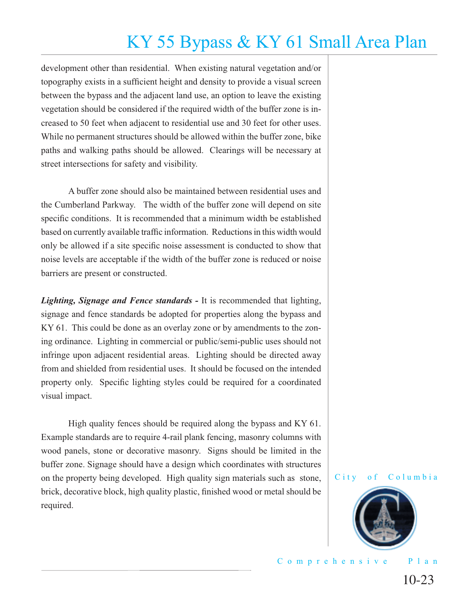development other than residential. When existing natural vegetation and/or topography exists in a sufficient height and density to provide a visual screen between the bypass and the adjacent land use, an option to leave the existing vegetation should be considered if the required width of the buffer zone is increased to 50 feet when adjacent to residential use and 30 feet for other uses. While no permanent structures should be allowed within the buffer zone, bike paths and walking paths should be allowed. Clearings will be necessary at street intersections for safety and visibility.

 A buffer zone should also be maintained between residential uses and the Cumberland Parkway. The width of the buffer zone will depend on site specific conditions. It is recommended that a minimum width be established based on currently available traffic information. Reductions in this width would only be allowed if a site specific noise assessment is conducted to show that noise levels are acceptable if the width of the buffer zone is reduced or noise barriers are present or constructed.

*Lighting, Signage and Fence standards -* It is recommended that lighting, signage and fence standards be adopted for properties along the bypass and KY 61. This could be done as an overlay zone or by amendments to the zoning ordinance. Lighting in commercial or public/semi-public uses should not infringe upon adjacent residential areas. Lighting should be directed away from and shielded from residential uses. It should be focused on the intended property only. Specific lighting styles could be required for a coordinated visual impact.

 High quality fences should be required along the bypass and KY 61. Example standards are to require 4-rail plank fencing, masonry columns with wood panels, stone or decorative masonry. Signs should be limited in the buffer zone. Signage should have a design which coordinates with structures on the property being developed. High quality sign materials such as stone, brick, decorative block, high quality plastic, finished wood or metal should be required.

City of Columbia

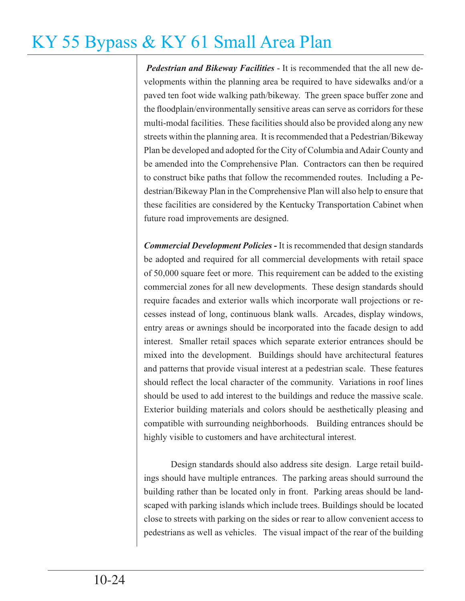*Pedestrian and Bikeway Facilities* - It is recommended that the all new developments within the planning area be required to have sidewalks and/or a paved ten foot wide walking path/bikeway. The green space buffer zone and the floodplain/environmentally sensitive areas can serve as corridors for these multi-modal facilities. These facilities should also be provided along any new streets within the planning area. It is recommended that a Pedestrian/Bikeway Plan be developed and adopted for the City of Columbia and Adair County and be amended into the Comprehensive Plan. Contractors can then be required to construct bike paths that follow the recommended routes. Including a Pedestrian/Bikeway Plan in the Comprehensive Plan will also help to ensure that these facilities are considered by the Kentucky Transportation Cabinet when future road improvements are designed.

*Commercial Development Policies* **-** It is recommended that design standards be adopted and required for all commercial developments with retail space of 50,000 square feet or more. This requirement can be added to the existing commercial zones for all new developments. These design standards should require facades and exterior walls which incorporate wall projections or recesses instead of long, continuous blank walls. Arcades, display windows, entry areas or awnings should be incorporated into the facade design to add interest. Smaller retail spaces which separate exterior entrances should be mixed into the development. Buildings should have architectural features and patterns that provide visual interest at a pedestrian scale. These features should reflect the local character of the community. Variations in roof lines should be used to add interest to the buildings and reduce the massive scale. Exterior building materials and colors should be aesthetically pleasing and compatible with surrounding neighborhoods. Building entrances should be highly visible to customers and have architectural interest.

 Design standards should also address site design. Large retail buildings should have multiple entrances. The parking areas should surround the building rather than be located only in front. Parking areas should be landscaped with parking islands which include trees. Buildings should be located close to streets with parking on the sides or rear to allow convenient access to pedestrians as well as vehicles. The visual impact of the rear of the building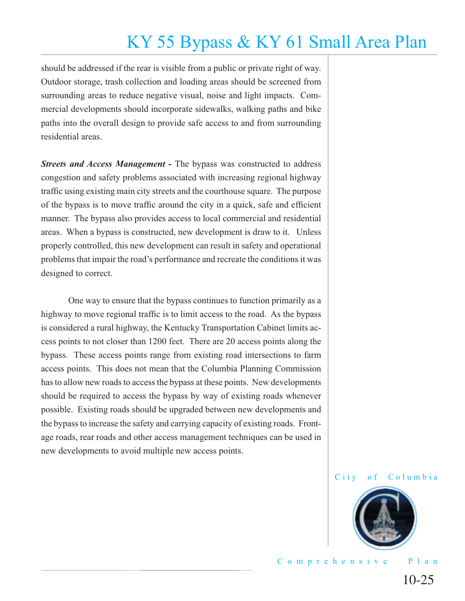should be addressed if the rear is visible from a public or private right of way. Outdoor storage, trash collection and loading areas should be screened from surrounding areas to reduce negative visual, noise and light impacts. Commercial developments should incorporate sidewalks, walking paths and bike paths into the overall design to provide safe access to and from surrounding residential areas.

*Streets and Access Management -* The bypass was constructed to address congestion and safety problems associated with increasing regional highway traffic using existing main city streets and the courthouse square. The purpose of the bypass is to move traffic around the city in a quick, safe and efficient manner. The bypass also provides access to local commercial and residential areas. When a bypass is constructed, new development is draw to it. Unless properly controlled, this new development can result in safety and operational problems that impair the road's performance and recreate the conditions it was designed to correct.

 One way to ensure that the bypass continues to function primarily as a highway to move regional traffic is to limit access to the road. As the bypass is considered a rural highway, the Kentucky Transportation Cabinet limits access points to not closer than 1200 feet. There are 20 access points along the bypass. These access points range from existing road intersections to farm access points. This does not mean that the Columbia Planning Commission has to allow new roads to access the bypass at these points. New developments should be required to access the bypass by way of existing roads whenever possible. Existing roads should be upgraded between new developments and the bypass to increase the safety and carrying capacity of existing roads. Frontage roads, rear roads and other access management techniques can be used in new developments to avoid multiple new access points.



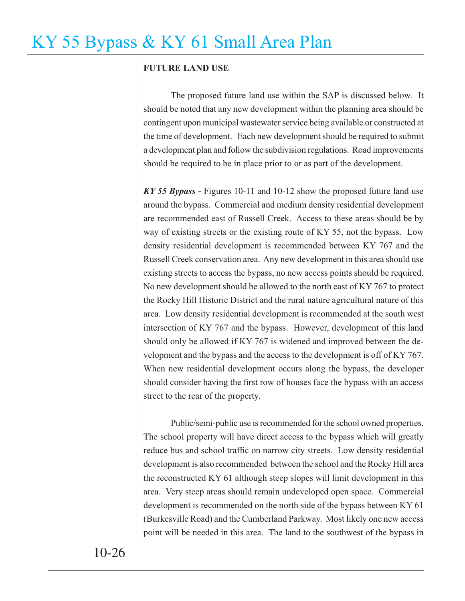### **FUTURE LAND USE**

The proposed future land use within the SAP is discussed below. It should be noted that any new development within the planning area should be contingent upon municipal wastewater service being available or constructed at the time of development. Each new development should be required to submit a development plan and follow the subdivision regulations. Road improvements should be required to be in place prior to or as part of the development.

*KY 55 Bypass* **-** Figures 10-11 and 10-12 show the proposed future land use around the bypass. Commercial and medium density residential development are recommended east of Russell Creek. Access to these areas should be by way of existing streets or the existing route of KY 55, not the bypass. Low density residential development is recommended between KY 767 and the Russell Creek conservation area. Any new development in this area should use existing streets to access the bypass, no new access points should be required. No new development should be allowed to the north east of KY 767 to protect the Rocky Hill Historic District and the rural nature agricultural nature of this area. Low density residential development is recommended at the south west intersection of KY 767 and the bypass. However, development of this land should only be allowed if KY 767 is widened and improved between the development and the bypass and the access to the development is off of KY 767. When new residential development occurs along the bypass, the developer should consider having the first row of houses face the bypass with an access street to the rear of the property.

 Public/semi-public use is recommended for the school owned properties. The school property will have direct access to the bypass which will greatly reduce bus and school traffic on narrow city streets. Low density residential development is also recommended between the school and the Rocky Hill area the reconstructed KY 61 although steep slopes will limit development in this area. Very steep areas should remain undeveloped open space. Commercial development is recommended on the north side of the bypass between KY 61 (Burkesville Road) and the Cumberland Parkway. Most likely one new access point will be needed in this area. The land to the southwest of the bypass in